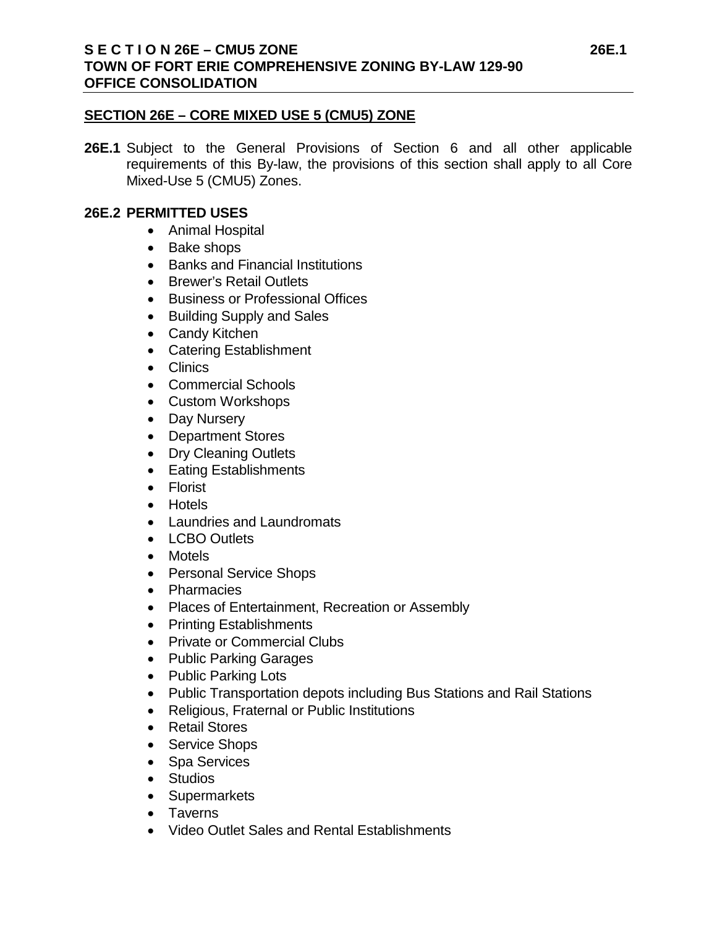# **SECTION 26E – CORE MIXED USE 5 (CMU5) ZONE**

**26E.1** Subject to the General Provisions of Section 6 and all other applicable requirements of this By-law, the provisions of this section shall apply to all Core Mixed-Use 5 (CMU5) Zones.

# **26E.2 PERMITTED USES**

- Animal Hospital
- Bake shops
- Banks and Financial Institutions
- Brewer's Retail Outlets
- Business or Professional Offices
- Building Supply and Sales
- Candy Kitchen
- Catering Establishment
- Clinics
- Commercial Schools
- Custom Workshops
- Day Nursery
- Department Stores
- Dry Cleaning Outlets
- Eating Establishments
- Florist
- Hotels
- Laundries and Laundromats
- LCBO Outlets
- Motels
- Personal Service Shops
- Pharmacies
- Places of Entertainment, Recreation or Assembly
- Printing Establishments
- Private or Commercial Clubs
- Public Parking Garages
- Public Parking Lots
- Public Transportation depots including Bus Stations and Rail Stations
- Religious, Fraternal or Public Institutions
- Retail Stores
- Service Shops
- Spa Services
- Studios
- Supermarkets
- Taverns
- Video Outlet Sales and Rental Establishments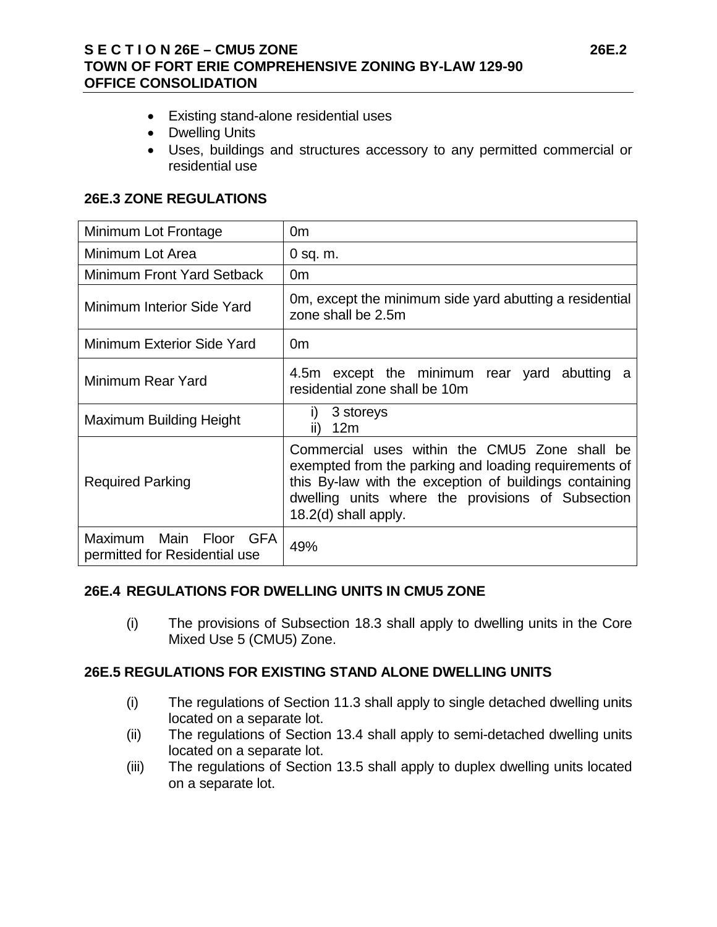# **S E C T I O N 26E – CMU5 ZONE 26E.2 TOWN OF FORT ERIE COMPREHENSIVE ZONING BY-LAW 129-90 OFFICE CONSOLIDATION**

- Existing stand-alone residential uses
- Dwelling Units
- Uses, buildings and structures accessory to any permitted commercial or residential use

# **26E.3 ZONE REGULATIONS**

| Minimum Lot Frontage                                    | 0m                                                                                                                                                                                                                                            |
|---------------------------------------------------------|-----------------------------------------------------------------------------------------------------------------------------------------------------------------------------------------------------------------------------------------------|
| Minimum Lot Area                                        | $0$ sq. m.                                                                                                                                                                                                                                    |
| Minimum Front Yard Setback                              | 0 <sub>m</sub>                                                                                                                                                                                                                                |
| Minimum Interior Side Yard                              | Om, except the minimum side yard abutting a residential<br>zone shall be 2.5m                                                                                                                                                                 |
| Minimum Exterior Side Yard                              | 0 <sub>m</sub>                                                                                                                                                                                                                                |
| Minimum Rear Yard                                       | 4.5m except the minimum rear yard abutting a<br>residential zone shall be 10m                                                                                                                                                                 |
| Maximum Building Height                                 | 3 storeys<br>i)<br>12m<br>ii)                                                                                                                                                                                                                 |
| <b>Required Parking</b>                                 | Commercial uses within the CMU5 Zone shall be<br>exempted from the parking and loading requirements of<br>this By-law with the exception of buildings containing<br>dwelling units where the provisions of Subsection<br>18.2(d) shall apply. |
| Maximum Main Floor GFA<br>permitted for Residential use | 49%                                                                                                                                                                                                                                           |

## **26E.4 REGULATIONS FOR DWELLING UNITS IN CMU5 ZONE**

(i) The provisions of Subsection 18.3 shall apply to dwelling units in the Core Mixed Use 5 (CMU5) Zone.

## **26E.5 REGULATIONS FOR EXISTING STAND ALONE DWELLING UNITS**

- (i) The regulations of Section 11.3 shall apply to single detached dwelling units located on a separate lot.
- (ii) The regulations of Section 13.4 shall apply to semi-detached dwelling units located on a separate lot.
- (iii) The regulations of Section 13.5 shall apply to duplex dwelling units located on a separate lot.